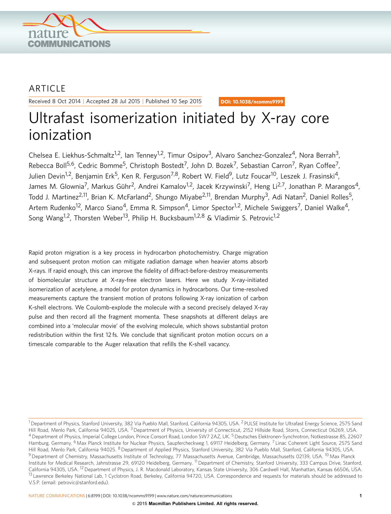

## ARTICLE

Received 8 Oct 2014 | Accepted 28 Jul 2015 | Published 10 Sep 2015

DOI: 10.1038/ncomms9199

# Ultrafast isomerization initiated by X-ray core ionization

Chelsea E. Liekhus-Schmaltz<sup>1,2</sup>, Ian Tenney<sup>1,2</sup>, Timur Osipov<sup>3</sup>, Alvaro Sanchez-Gonzalez<sup>4</sup>, Nora Berrah<sup>3</sup>, Rebecca Boll<sup>5,6</sup>, Cedric Bomme<sup>5</sup>, Christoph Bostedt<sup>7</sup>, John D. Bozek<sup>7</sup>, Sebastian Carron<sup>7</sup>, Ryan Coffee<sup>7</sup>, Julien Devin<sup>1,2</sup>, Benjamin Erk<sup>5</sup>, Ken R. Ferguson<sup>7,8</sup>, Robert W. Field<sup>9</sup>, Lutz Foucar<sup>10</sup>, Leszek J. Frasinski<sup>4</sup>, James M. Glownia<sup>7</sup>, Markus Gühr<sup>2</sup>, Andrei Kamalov<sup>1,2</sup>, Jacek Krzywinski<sup>7</sup>, Heng Li<sup>2,7</sup>, Jonathan P. Marangos<sup>4</sup>, Todd J. Martinez<sup>2,11</sup>, Brian K. McFarland<sup>2</sup>, Shungo Miyabe<sup>2,11</sup>, Brendan Murphy<sup>3</sup>, Adi Natan<sup>2</sup>, Daniel Rolles<sup>5</sup>, Artem Rudenko<sup>12</sup>, Marco Siano<sup>4</sup>, Emma R. Simpson<sup>4</sup>, Limor Spector<sup>1,2</sup>, Michele Swiggers<sup>7</sup>, Daniel Walke<sup>4</sup>, Song Wang<sup>1,2</sup>, Thorsten Weber<sup>13</sup>, Philip H. Bucksbaum<sup>1,2,8</sup> & Vladimir S. Petrovic<sup>1,2</sup>

Rapid proton migration is a key process in hydrocarbon photochemistry. Charge migration and subsequent proton motion can mitigate radiation damage when heavier atoms absorb X-rays. If rapid enough, this can improve the fidelity of diffract-before-destroy measurements of biomolecular structure at X-ray-free electron lasers. Here we study X-ray-initiated isomerization of acetylene, a model for proton dynamics in hydrocarbons. Our time-resolved measurements capture the transient motion of protons following X-ray ionization of carbon K-shell electrons. We Coulomb-explode the molecule with a second precisely delayed X-ray pulse and then record all the fragment momenta. These snapshots at different delays are combined into a 'molecular movie' of the evolving molecule, which shows substantial proton redistribution within the first 12 fs. We conclude that significant proton motion occurs on a timescale comparable to the Auger relaxation that refills the K-shell vacancy.

<sup>&</sup>lt;sup>1</sup> Department of Physics, Stanford University, 382 Via Pueblo Mall, Stanford, California 94305, USA, <sup>2</sup> PULSE Institute for Ultrafast Energy Science, 2575 Sand Hill Road, Menlo Park, California 94025, USA. <sup>3</sup> Department of Physics, University of Connecticut, 2152 Hillside Road, Storrs, Connecticut 06269, USA. <sup>4</sup> Department of Physics, Imperial College London, Prince Consort Road, London SW7 2AZ, UK. <sup>5</sup> Deutsches Elektronen-Synchrotron, Notkestrasse 85, 22607 Hamburg, Germany. <sup>6</sup> Max Planck Institute for Nuclear Physics, Saupfercheckweg 1, 69117 Heidelberg, Germany. <sup>7</sup> Linac Coherent Light Source, 2575 Sand Hill Road, Menlo Park, California 94025. <sup>8</sup> Department of Applied Physics, Stanford University, 382 Via Pueblo Mall, Stanford, California 94305, USA. 9 Department of Chemistry, Massachusetts Institute of Technology, 77 Massachusetts Avenue, Cambridge, Massachusetts 02139, USA. <sup>10</sup> Max Planck Institute for Medical Research, Jahnstrasse 29, 69120 Heidelberg, Germany. <sup>11</sup> Department of Chemistry, Stanford University, 333 Campus Drive, Stanford, California 94305, USA. <sup>12</sup> Department of Physics, J. R. Macdonald Laboratory, Kansas State University, 306 Cardwell Hall, Manhattan, Kansas 66506, USA. <sup>13</sup> Lawrence Berkeley National Lab, 1 Cyclotron Road, Berkeley, California 94720, USA. Correspondence and requests for materials should be addressed to V.S.P. (email: [petrovic@stanford.edu\)](mailto:petrovic@stanford.edu).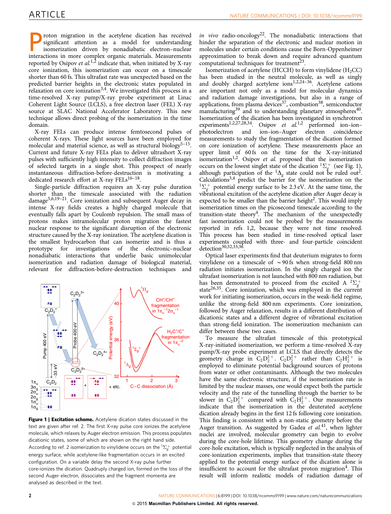<span id="page-1-0"></span>**Exercía diversity of the acetylene** dication has received significant attention as a model for understanding isomerization driven by nonadiabatic electron–nuclear interactions in more complex organic materials. Measuremen significant attention as a model for understanding interactions in more complex organic materials. Measurements reported by Osipov et  $al^{1,2}$  $al^{1,2}$  $al^{1,2}$  indicate that, when initiated by X-ray core ionization, this isomerization can occur on a timescale shorter than 60 fs. This ultrafast rate was unexpected based on the predicted barrier heights in the electronic states populated in relaxation on core ionization<sup>[3,4](#page-5-0)</sup>. We investigated this process in a time-resolved X-ray pump/X-ray probe experiment at Linac Coherent Light Source (LCLS), a free electron laser (FEL) X-ray source at SLAC National Accelerator Laboratory. This new technique allows direct probing of the isomerization in the time domain.

X-ray FELs can produce intense femtosecond pulses of coherent X-rays. These light sources have been employed for molecular and material science, as well as structural biology<sup>5-15</sup>. Current and future X-ray FELs plan to deliver ultrashort X-ray pulses with sufficiently high intensity to collect diffraction images of selected targets in a single shot. This prospect of nearly instantaneous diffraction-before-destruction is motivating a dedicated research effort at X-ray FELs<sup>16-18</sup>.

Single-particle diffraction requires an X-ray pulse duration shorter than the timescale associated with the radiation damage[5,6,19–21.](#page-5-0) Core ionization and subsequent Auger decay in intense X-ray fields creates a highly charged molecule that eventually falls apart by Coulomb repulsion. The small mass of protons makes intramolecular proton migration the fastest nuclear response to the significant disruption of the electronic structure caused by the X-ray ionization. The acetylene dication is the smallest hydrocarbon that can isomerize and is thus a prototype for investigations of the electronic–nuclear nonadiabatic interactions that underlie basic unimolecular isomerization and radiation damage of biological material, relevant for diffraction-before-destruction techniques and



Figure 1 | Excitation scheme. Acetylene dication states discussed in the text are given after [ref. 2](#page-5-0). The first X-ray pulse core ionizes the acetylene molecule, which relaxes by Auger electron emission. This process populates dicationic states, some of which are shown on the right hand side. According to [ref. 2](#page-5-0) isomerization to vinylidene occurs on the  $^1\Sigma_g^+$  potential energy surface, while acetylene-like fragmentation occurs in an excited configuration. On a variable delay the second X-ray pulse further core-ionizes the dication. Quadruply charged ion, formed on the loss of the second Auger electron, dissociates and the fragment momenta are analysed as described in the text.

in vivo radio-oncology<sup>22</sup>. The nonadiabatic interactions that hinder the separation of the electronic and nuclear motion in molecules under certain conditions cause the Born-Oppenheimer approximation to break down and require advanced quantum computational techniques for treatment $^{23}$ .

Isomerization of acetylene (HCCH) to form vinylidene  $(H<sub>2</sub>CC)$ has been studied in the neutral molecule, as well as singly and doubly charged acetylene ions<sup>1,2,24–36</sup>. Acetylene cations are important not only as a model for molecular dynamics and radiation damage investigations, but also in a range of applications, from plasma devices<sup>37</sup>, combustion<sup>38</sup>, semiconductor manufacturing<sup>39</sup> and to understanding planetary atmospheres<sup>40</sup>. Isomerization of the dication has been investigated in synchrotron experiments<sup>[1,2](#page-5-0),27,28,34</sup>. Osipov et al.<sup>1,2</sup> performed ion–ion– photoelectron and ion–ion–Auger electron coincidence measurements to study the fragmentation of the dication formed on core ionization of acetylene. These measurements place an upper limit of 60 fs on the time for the X-ray-initiated isomerization<sup>1,2</sup>. Osipov et al. proposed that the isomerization occurs on the lowest singlet state of the dication  ${}^{1}\Sigma_{g}^{+}$  (see Fig. 1), although participation of the  ${}^{1}\Delta_{g}$  state could not be ruled out<sup>2</sup>. Calculations<sup>3,4</sup> predict the barrier for the isomerization on the  $\Sigma_g^+$  potential energy surface to be 2.3 eV. At the same time, the vibrational excitation of the acetylene dication after Auger decay is expected to be smaller than the barrier height<sup>2</sup>. This would imply isomerization times on the picosecond timescale according to the transition-state theory<sup>[4](#page-5-0)</sup>. The mechanism of the unexpectedly fast isomerization could not be probed by the measurements reported in [refs 1,2,](#page-5-0) because they were not time resolved. This process has been studied in time-resolved optical laser experiments coupled with three- and four-particle coincident detection[30,32,33,36.](#page-5-0)

Optical laser experiments find that deuterium migrates to form vinylidene on a timescale of  $\sim$ 90 fs when strong-field 800 nm radiation initiates isomerization. In the singly charged ion the ultrafast isomerization is not launched with 800 nm radiation, but has been demonstrated to proceed from the excited A  ${}^{2}\Sigma_{g}^{+}$ state<sup>[26,35](#page-5-0)</sup>. Core ionization, which was employed in the current work for initiating isomerization, occurs in the weak-field regime, unlike the strong-field 800 nm experiments. Core ionization, followed by Auger relaxation, results in a different distribution of dicationic states and a different degree of vibrational excitation than strong-field ionization. The isomerization mechanism can differ between these two cases.

To measure the ultrafast timescale of this prototypical X-ray-initiated isomerization, we perform a time-resolved X-ray pump/X-ray probe experiment at LCLS that directly detects the geometry change in  $C_2D_2^{2+}$ .  $C_2D_2^{2+}$  rather than  $C_2H_2^{2+}$  is employed to eliminate potential background sources of protons from water or other contaminants. Although the two molecules have the same electronic structure, if the isomerization rate is limited by the nuclear masses, one would expect both the particle velocity and the rate of the tunnelling through the barrier to be slower in  $C_2D_2^{2+}$  compared with  $C_2H_2^{2+}$ . Our measurements indicate that the isomerization in the deuterated acetylene dication already begins in the first 12 fs following core ionization. This finding is consistent with a non-static geometry before the Auger transition. As suggested by Gadea et  $al$ <sup>[41](#page-6-0)</sup>, when lighter nuclei are involved, molecular geometry can begin to evolve during the core-hole lifetime. This geometry change during the core-hole excitation, which is typically neglected in the analysis of core-ionization experiments, implies that transition-state theory applied to the potential energy surface of the dication alone is insufficient to account for the ultrafast proton migration<sup>[4](#page-5-0)</sup>. This result will inform realistic models of radiation damage of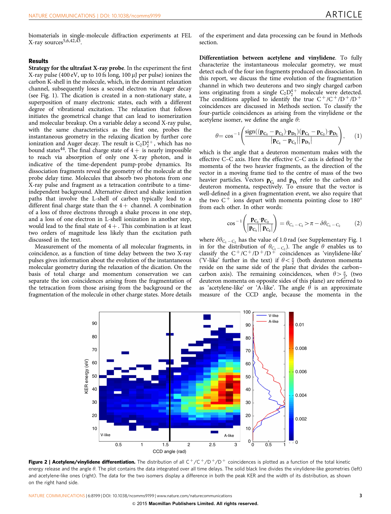<span id="page-2-0"></span>biomaterials in single-molecule diffraction experiments at FEL  $X$ -ray sources<sup>5,6,42,43</sup>.

#### Results

Strategy for the ultrafast X-ray probe. In the experiment the first X-ray pulse (400 eV, up to 10 fs long, 100  $\mu$ J per pulse) ionizes the carbon K-shell in the molecule, which, in the dominant relaxation channel, subsequently loses a second electron via Auger decay (see [Fig. 1\)](#page-1-0). The dication is created in a non-stationary state, a superposition of many electronic states, each with a different degree of vibrational excitation. The relaxation that follows initiates the geometrical change that can lead to isomerization and molecular breakup. On a variable delay a second X-ray pulse, with the same characteristics as the first one, probes the instantaneous geometry in the relaxing dication by further core ionization and Auger decay. The result is  $C_2D_2^{4+}$ , which has no bound states<sup>44</sup>. The final charge state of  $4 +$  is nearly impossible to reach via absorption of only one X-ray photon, and is indicative of the time-dependent pump-probe dynamics. Its dissociation fragments reveal the geometry of the molecule at the probe delay time. Molecules that absorb two photons from one X-ray pulse and fragment as a tetracation contribute to a timeindependent background. Alternative direct and shake ionization paths that involve the L-shell of carbon typically lead to a different final charge state than the  $4 +$  channel. A combination of a loss of three electrons through a shake process in one step, and a loss of one electron in L-shell ionization in another step, would lead to the final state of  $4 +$ . This combination is at least two orders of magnitude less likely than the excitation path discussed in the text.

Measurement of the momenta of all molecular fragments, in coincidence, as a function of time delay between the two X-ray pulses gives information about the evolution of the instantaneous molecular geometry during the relaxation of the dication. On the basis of total charge and momentum conservation we can separate the ion coincidences arising from the fragmentation of the tetracation from those arising from the background or the fragmentation of the molecule in other charge states. More details

of the experiment and data processing can be found in Methods section.

Differentiation between acetylene and vinylidene. To fully characterize the instantaneous molecular geometry, we must detect each of the four ion fragments produced on dissociation. In this report, we discuss the time evolution of the fragmentation channel in which two deuterons and two singly charged carbon ions originating from a single  $C_2D_2^{4+}$  molecule were detected. The conditions applied to identify the true  $C^+/C^+/D^+/D^+$ coincidences are discussed in Methods section. To classify the four-particle coincidences as arising from the vinylidene or the acetylene isomer, we define the angle  $\theta$ :

$$
\theta = \cos^{-1}\left(\frac{\text{sign}((\mathbf{p}_{C_1} - \mathbf{p}_{C_2}) \cdot \mathbf{p}_{D_2})(\mathbf{p}_{C_1} - \mathbf{p}_{C_2}) \cdot \mathbf{p}_{D_1}}{|\mathbf{p}_{C_1} - \mathbf{p}_{C_2}|| \cdot \mathbf{p}_{D_1}|}\right), \quad (1)
$$

which is the angle that a deuteron momentum makes with the effective C–C axis. Here the effective C–C axis is defined by the momenta of the two heavier fragments, as the direction of the vector in a moving frame tied to the centre of mass of the two heavier particles. Vectors  $p_{C_i}$  and  $p_{D_i}$  refer to the carbon and deuteron momenta, respectively. To ensure that the vector is well-defined in a given fragmentation event, we also require that the two  $C^+$  ions depart with momenta pointing close to 180 $^{\circ}$ from each other. In other words:

$$
\cos^{-1}\left(\frac{\mathbf{p}_{C_1} \cdot \mathbf{p}_{C_2}}{|\mathbf{p}_{C_1}|| \cdot \mathbf{p}_{C_2}|}\right) = \theta_{C_1 - C_2} > \pi - \delta \theta_{C_1 - C_2}
$$
 (2)

where  $\delta\theta_{\mathrm{C}_1-\mathrm{C}_2}$  has the value of 1.0 rad (see Supplementary Fig. 1 in for the distribution of  $\theta_{C_1 - C_2}$ ). The angle  $\theta$  enables us to classify the  $C^+/C^+/D^+/D^+$  coincidences as 'vinylidene-like' ('V-like' further in the text) if  $\theta < \frac{\pi}{2}$  (both deuteron momenta reside on the same side of the plane that divides the carbon– carbon axis). The remaining coincidences, when  $\theta > \frac{\pi}{2}$ , (two deuteron momenta on opposite sides of this plane) are referred to as 'acetylene-like' or 'A-like'. The angle  $\theta$  is an approximate measure of the CCD angle, because the momenta in the



Figure 2 | Acetylene/vinylidene differentiation. The distribution of all  $C^+ / C^+ / D^+$  coincidences is plotted as a function of the total kinetic energy release and the angle  $\theta$ . The plot contains the data integrated over all time delays. The solid black line divides the vinylidene-like geometries (left) and acetylene-like ones (right). The data for the two isomers display a difference in both the peak KER and the width of its distribution, as shown on the right hand side.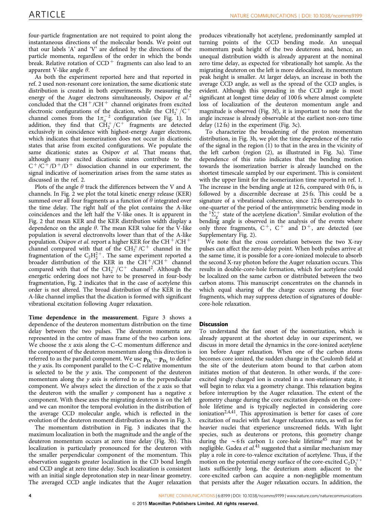four-particle fragmentation are not required to point along the instantaneous directions of the molecular bonds. We point out that our labels 'A' and 'V' are defined by the directions of the particle momenta, regardless of the order in which the bonds break. Relative rotation of  $CCD<sup>+</sup>$  fragments can also lead to an apparent V-like angle  $\theta$ .

As both the experiment reported here and that reported in [ref. 2](#page-5-0) used non-resonant core ionization, the same dicationic state distribution is created in both experiments. By measuring the energy of the Auger electrons simultaneously, Osipov et  $al<sup>2</sup>$  $al<sup>2</sup>$  $al<sup>2</sup>$ . concluded that the  $CH^+/CH^+$  channel originates from excited electronic configurations of the dication, while the  $CH_2^+/C^+$ channel comes from the  $1\pi^{-2}$  configuration (see [Fig. 1\)](#page-1-0). In addition, they find that  $\overline{\text{CH}_2^+}/\text{C}^+$  fragments are detected exclusively in coincidence with highest-energy Auger electrons, which indicates that isomerization does not occur in dicationic states that arise from excited configurations. We populate the same dicationic states as Osipov et al. That means that, although many excited dicationic states contribute to the  $C^+/C^+/D^+/D^+$  dissociation channel in our experiment, the signal indicative of isomerization arises from the same states as discussed in the [ref. 2.](#page-5-0)

Plots of the angle  $\theta$  track the differences between the V and A channels. In [Fig. 2](#page-2-0) we plot the total kinetic energy release (KER) summed over all four fragments as a function of  $\hat{\theta}$  integrated over the time delay. The right half of the plot contains the A-like coincidences and the left half the V-like ones. It is apparent in [Fig. 2](#page-2-0) that mean KER and the KER distribution width display a dependence on the angle  $\theta$ . The mean KER value for the V-like population is several electronvolts lower than that of the A-like population. Osipov *et al.* report a higher KER for the CH  $^+$  /CH  $^+$ channel compared with that of the  $CH_2^+/C^+$  channel in the fragmentation of the  $C_2H_2^{2+}$ . The same experiment reported a broader distribution of the KER in the  $CH<sup>+</sup>/CH<sup>+</sup>$  channel compared with that of the  $CH_2^+/C^+$  channel<sup>2</sup>. Although the energetic ordering does not have to be preserved in four-body fragmentation, [Fig. 2](#page-2-0) indicates that in the case of acetylene this order is not altered. The broad distribution of the KER in the A-like channel implies that the dication is formed with significant vibrational excitation following Auger relaxation.

Time dependence in the measurement. [Figure 3](#page-4-0) shows a dependence of the deuteron momentum distribution on the time delay between the two pulses. The deuteron momenta are represented in the centre of mass frame of the two carbon ions. We choose the  $x$  axis along the C–C momentum difference and the component of the deuteron momentum along this direction is referred to as the parallel component. We use  $\mathbf{p}_{\mathbf{D}_1} - \mathbf{p}_{\mathbf{D}_2}$  to define the  $y$  axis. Its component parallel to the C–C relative momentum is selected to be the  $y$  axis. The component of the deuteron momentum along the  $y$  axis is referred to as the perpendicular component. We always select the direction of the  $x$  axis so that the deuteron with the smaller  $y$  component has a negative  $x$ component. With these axes the migrating deuteron is on the left and we can monitor the temporal evolution in the distribution of the average CCD molecular angle, which is reflected in the evolution of the deuteron moment distribution as shown in [Fig. 3.](#page-4-0)

The momentum distribution in [Fig. 3](#page-4-0) indicates that the maximum localization in both the magnitude and the angle of the deuteron momentum occurs at zero time delay [\(Fig. 3b](#page-4-0)). This localization is particularly pronounced for the deuteron with the smaller perpendicular component of the momentum. This observation suggests greater localization in the CD bond length and CCD angle at zero time delay. Such localization is consistent with an initial single deprotonation step in near-linear geometry. The averaged CCD angle indicates that the Auger relaxation

produces vibrationally hot acetylene, predominantly sampled at turning points of the CCD bending mode. An unequal momentum peak height of the two deuterons and, hence, an unequal distribution width is already apparent at the nominal zero time delay, as expected for vibrationally hot sample. As the migrating deuteron on the left is more delocalized, its momentum peak height is smaller. At larger delays, an increase in both the average CCD angle, as well as the spread of the CCD angles, is evident. Although this spreading in the CCD angle is most significant at longest time delay of 100 fs where almost complete loss of localization of the deuteron momentum angle and magnitude is observed [\(Fig. 3f\)](#page-4-0), it is important to note that the angle increase is already observable at the earliest non-zero time delay (12 fs) in the experiment ([Fig. 3c](#page-4-0)).

To characterize the broadening of the proton momentum distribution, in [Fig. 3h](#page-4-0), we plot the time dependence of the ratio of the signal in the region (1) to that in the area in the vicinity of the left carbon (region (2), as illustrated in [Fig. 3a\)](#page-4-0). Time dependence of this ratio indicates that the bending motion towards the isomerization barrier is already launched on the shortest timescale sampled by our experiment. This is consistent with the upper limit for the isomerization time reported in [ref. 1.](#page-5-0) The increase in the bending angle at 12 fs, compared with 0 fs, is followed by a discernible decrease at 25 fs. This could be a signature of a vibrational coherence, since 12 fs corresponds to one-quarter of the period of the antisymmetric bending mode in the  ${}^{1}\Sigma_{g}^{+}$  state of the acetylene dication<sup>[3](#page-5-0)</sup>. Similar evolution of the bending angle is observed in the analysis of the events where only three fragments,  $C^+$ ,  $C^+$  and  $D^+$ , are detected (see Supplementary Fig. 2).

We note that the cross correlation between the two X-ray pulses can affect the zero-delay point. When both pulses arrive at the same time, it is possible for a core-ionized molecule to absorb the second X-ray photon before the Auger relaxation occurs. This results in double-core-hole formation, which for acetylene could be localized on the same carbon or distributed between the two carbon atoms. This manuscript concentrates on the channels in which equal sharing of the charge occurs among the four fragments, which may suppress detection of signatures of doublecore-hole relaxation.

### **Discussion**

To understand the fast onset of the isomerization, which is already apparent at the shortest delay in our experiment, we discuss in more detail the dynamics in the core-ionized acetylene ion before Auger relaxation. When one of the carbon atoms becomes core ionized, the sudden change in the Coulomb field at the site of the deuterium atom bound to that carbon atom initiates motion of that deuteron. In other words, if the coreexcited singly charged ion is created in a non-stationary state, it will begin to relax via a geometry change. This relaxation begins before interruption by the Auger relaxation. The extent of the geometry change during the core excitation depends on the corehole lifetime and is typically neglected in considering core ionization<sup>[2,4,41](#page-5-0)</sup>. This approximation is better for cases of core excitation of nuclei with fast Auger relaxation rates, as well as for heavier nuclei that experience unscreened fields. With light species, such as deuterons or protons, this geometry change during the  $\sim$  6 fs carbon 1s core-hole lifetime<sup>[45](#page-6-0)</sup> may not be negligible. Gadea et  $al$ .<sup>[41](#page-6-0)</sup> suggested that a similar mechanism may play a role in core-to-valence excitation of acetylene. Thus, if the motion on the potential energy surface of the core-excited  $\mathrm{C_2D_2^+}^*$ lasts sufficiently long, the deuterium atom adjacent to the core-excited carbon can acquire a non-negligible momentum that persists after the Auger relaxation occurs. In addition, the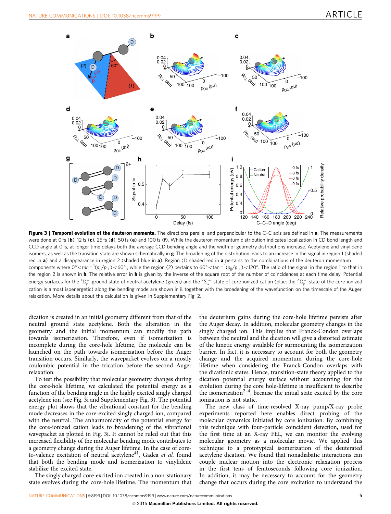<span id="page-4-0"></span>

Figure 3 | Temporal evolution of the deuteron momenta. The directions parallel and perpendicular to the C-C axis are defined in a. The measurements were done at 0 fs (b), 12 fs (c), 25 fs (d), 50 fs (e) and 100 fs (f). While the deuteron momentum distribution indicates localization in CD bond length and CCD angle at 0 fs, at longer time delays both the average CCD bending angle and the width of geometry distributions increase. Acetylene and vinylidene isomers, as well as the transition state are shown schematically in g. The broadening of the distribution leads to an increase in the signal in region 1 (shaded red in a) and a disappearance in region 2 (shaded blue in a). Region (1) shaded red in a pertains to the combinations of the deuteron momentum components where  $0^{\circ}$   $\lt$  tan  $^{-1}(p_{\parallel}/p_{\perp})$   $\lt$  60°, while the region (2) pertains to 60°  $\lt$  tan  $^{-1}(p_{\parallel}/p_{\perp})$   $\lt$  120°. The ratio of the signal in the region 1 to that in the region 2 is shown in h. The relative error in h is given by the inverse of the square root of the number of coincidences at each time delay. Potential energy surfaces for the  $^1\Sigma^+_g$  ground state of neutral acetylene (green) and the  $^2\Sigma^-_u$  state of core-ionized cation (blue; the  $^2\Sigma^+_g$  state of the core-ionized cation is almost isoenergetic) along the bending mode are shown in i, together with the broadening of the wavefunction on the timescale of the Auger relaxation. More details about the calculation is given in Supplementary Fig. 2.

dication is created in an initial geometry different from that of the neutral ground state acetylene. Both the alteration in the geometry and the initial momentum can modify the path towards isomerization. Therefore, even if isomerization is incomplete during the core-hole lifetime, the molecule can be launched on the path towards isomerization before the Auger transition occurs. Similarly, the wavepacket evolves on a mostly coulombic potential in the trication before the second Auger relaxation.

To test the possibility that molecular geometry changes during the core-hole lifetime, we calculated the potential energy as a function of the bending angle in the highly excited singly charged acetylene ion (see Fig. 3i and Supplementary Fig. 3). The potential energy plot shows that the vibrational constant for the bending mode decreases in the core-excited singly charged ion, compared with the neutral. The anharmonicity of the potential energy for the core-ionized cation leads to broadening of the vibrational wavepacket as plotted in Fig. 3i. It cannot be ruled out that this increased flexibility of the molecular bending mode contributes to a geometry change during the Auger lifetime. In the case of coreto-valence excitation of neutral acetylene<sup>41</sup>, Gadea et al. found that both the bending mode and isomerization to vinylidene stabilize the excited state.

The singly charged core-excited ion created in a non-stationary state evolves during the core-hole lifetime. The momentum that the deuterium gains during the core-hole lifetime persists after the Auger decay. In addition, molecular geometry changes in the singly charged ion. This implies that Franck-Condon overlaps between the neutral and the dication will give a distorted estimate of the kinetic energy available for surmounting the isomerization barrier. In fact, it is necessary to account for both the geometry change and the acquired momentum during the core-hole lifetime when considering the Franck-Condon overlaps with the dicationic states. Hence, transition-state theory applied to the dication potential energy surface without accounting for the evolution during the core hole-lifetime is insufficient to describe the isomerization<sup>2-4</sup>, because the initial state excited by the core ionization is not static.

The new class of time-resolved X-ray pump/X-ray probe experiments reported here enables direct probing of the molecular dynamics initiated by core ionization. By combining this technique with four-particle coincident detection, used for the first time at an X-ray FEL, we can monitor the evolving molecular geometry as a molecular movie. We applied this technique to a prototypical isomerization of the deuterated acetylene dication. We found that nonadiabatic interactions can couple nuclear motion into the electronic relaxation process in the first tens of femtoseconds following core ionization. In addition, it may be necessary to account for the geometry change that occurs during the core excitation to understand the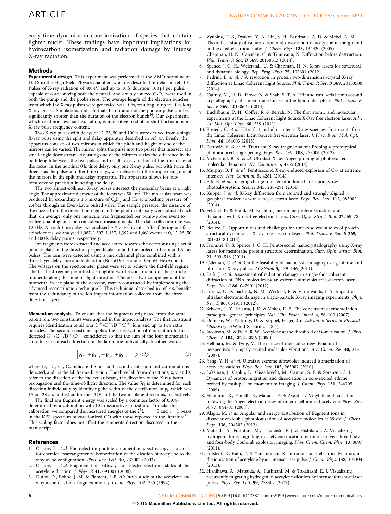<span id="page-5-0"></span>early-time dynamics in core ionization of species that contain lighter nuclei. These findings have important implications for hydrocarbon isomerization and radiation damage by intense X-ray radiation.

#### Methods

Experimental design. This experiment was performed at the AMO beamline at LCLS in the High-Field Physics chamber, which is described in detail in ref. 10. Pulses of X-ray radiation of 400 eV and up to 10 fs duration, 100 µJ per pulse, capable of core ionizing both the neutral- and doubly ionized  $C_2D_2$ , were used in both the pump and the probe steps. The average length of the electron bunches from which the X-ray pulses were generated was 10 fs, resulting in up to 10 fs long X-ray pulses. Simulations indicate that the duration of the photon pulse can be<br>significantly shorter than the duration of the electron bunch<sup>[46](#page-6-0)</sup>. Our experiment, which used non-resonant excitation, is insensitive to shot-to-shot fluctuations in X-ray pulse-frequency content.

Two X-ray pulses with delays of 12, 25, 50 and 100 fs were derived from a single X-ray pulse using the split and delay apparatus described in [ref. 47.](#page-6-0) Briefly, the apparatus consists of two mirrors in which the pitch and height of one of the mirrors can be varied. The mirror splits the pulse into two pulses that intersect at a small-angle downstream. Adjusting one of the mirrors varies the difference in the path length between the two pulses and results in a variation of the time delay at the focus. In the nominal 0 fs time delay, only one X-ray pulse, but with twice the fluence as the pulses at other time delays, was delivered to the sample using one of the mirrors in the split and delay apparatus. The apparatus allows for subfemtosecond precision in setting the delay.

The two almost-collinear X-ray pulses intersect the molecular beam at a right angle. The approximate diameter of the focus was  $50 \mu m^2$ . The molecular beam was produced by expanding a 1:3 mixture of  $C_2D_2$  and He at a backing pressure of 2.4 bar through an Even-Lavie pulsed valve. The sample pressure, the distance of the nozzle from the interaction region and the photon intensity were adjusted such that, on average, only one molecule was fragmented per pump-probe event to realize unambiguous ion coincidence measurements. The data collection rate was 120 Hz. At each time delay, we analysed  $\sim$  2  $\times$  10<sup>6</sup> events. After filtering out false coincidences, we analysed 1,087, 1,307, 1,137, 1,392 and 1,461 events at 0, 12, 25, 50 and 100 fs delay points, respectively.

Ion fragments were extracted and accelerated towards the detector using a set of parallel plates in the direction perpendicular to both the molecular beam and X-ray pulses. The ions were detected using a microchannel plate combined with a three-layer delay-line anode detector (RoentDek Handles GmbH HexAnode). The voltages on the spectrometer plates were set to achieve the flat-field regime. The flat-field regime permitted a straightforward reconstruction of the particle momenta along the time-of-flight direction. The other two components of the momenta, in the plane of the detector, were reconstructed by implementing the advanced reconstruction technique<sup>48</sup>. This technique, described in [ref. 48,](#page-6-0) benefits from the redundancy of the ion impact information collected from the three detection layers.

Momentum analysis. To ensure that the fragments originated from the same parent ion, two constraints were applied in the impact analysis. The first constraint requires identification of all four  $C^+/C^+/D^+/D^+$  ions and up to two extra particles. The second constraint applies the conservation of momentum to the detected  $C^+/C^+/D^+/D^+$  coincidence so that the sum of the four momenta is close to zero in each direction in the lab frame individually. In other words:

$$
\left| \mathbf{p}_{D_{1,j}} + \mathbf{p}_{D_{2,j}} + \mathbf{p}_{C_{1,j}} + \mathbf{p}_{C_{2,j}} \right| = p_j < \delta p_j \tag{3}
$$

where  $D_1$ ,  $D_2$ ,  $C_1$ ,  $C_2$  indicate the first and second deuterium and carbon atoms detected, and i is the lab frame-direction. The three lab frame directions, x, y, and z, refer to the direction of the molecular beam, the direction of the X-ray beam propagation and the time-of-flight direction. The value  $\delta p_i$  is determined for each direction individually by identifying the width of the distribution of  $p_j$ , which was 15 au, 28 au, and 92 au for the TOF and the two in-plane directions, respectively.

The final ion fragment energy was scaled by a common factor of 0.9787 determined by a calibration with CO dissociative ionization. To make this calibration, we compared the measured energies of the  $2^{1}\Sigma + \nu = 0$  and  $\nu = 1$  peaks in the KER spectrum of core-ionized CO with those reported in the literature<sup>49</sup> This scaling factor does not affect the momenta direction discussed in the manuscript.

#### **References**

- 1. Osipov, T. et al. Photoelectron-photoion momentum spectroscopy as a clock for chemical rearrangements: isomerization of the dication of acetylene to the vinylidene configuration. Phys. Rev. Lett. 90, 233002 (2003).
- 2. Osipov, T. et al. Fragmentation pathways for selected electronic states of the acetylene dication. J. Phys. B 41, 091001 (2008).
- 3. Duflot, D., Robbe, J.-M. & Flament, J.-P. Ab initio study of the acetylene and vinylidene dications fragmentation. J. Chem. Phys. 102, 355 (1994).
- 4. Zyubina, T. S., Dyakov, Y. A., Lin, S. H., Bandrauk, A. D. & Mebel, A. M. Theoretical study of isomerization and dissociation of acetylene in the ground and excited electronic states. J. Chem. Phys. 123, 134320 (2005).
- 5. Chapman, H. N., Caleman, C. & Timneanu, N. Diffraction before destruction. Phil. Trans. R Soc. B 369, 20130313 (2014).
- 6. Spence, J. C. H., Weierstall, U. & Chapman, H. N. X-ray lasers for structural and dynamic biology. Rep. Prog. Phys. 75, 102601 (2012).
- 7. Pedrini, B. et al. 7 Å resolution in protein two-dimensional-crystal X-ray diffraction at Linac Coherent Light Source. Phil. Trans. R Soc. B 369, 20130500  $(2014)$
- 8. Caffrey, M., Li, D., Howe, N. & Shah, S. T. A. 'Hit and run' serial femtosecond crystallography of a membrane kinase in the lipid cubic phase. Phil. Trans. R Soc. B 369, 20130621 (2014).
- Bucksbaum, P. H., Coffee, R. & Berrah, N. The first atomic and molecular experiments at the Linac Coherent Light Source X-Ray free electron laser. Adv. At. Mol. Opt. Phys. 60, 239 (2011).
- 10. Bostedt, C. et al. Ultra-fast and ultra-intense X-ray sciences: first results from the Linac Coherent Light Source free-electron laser. J. Phys. B At. Mol. Opt. Phys. 46, 164003 (2013).
- 11. Petrović, V. S. et al. Transient X-ray fragmentation: Probing a prototypical photoinduced ring opening. Phys. Rev. Lett. 108, 253006 (2012).
- 12. McFarland, B. K. et al. Ultrafast X-ray Auger probing of photoexcited molecular dynamics. Na. Commun. 5, 4235 (2014).
- 13. Murphy, B. F. et al. Femtosecond X-ray-induced explosion of  $C_{60}$  at extreme intensity. Nat. Commun. 5, 4281 (2014).
- 14. Erk, B. et al. Imaging charge transfer in iodomethane upon X-ray photoabsorption. Science 345, 288–291 (2014).
- 15. Küpper, J. et al. X-Ray diffraction from isolated and strongly aligned gas-phase molecules with a free-electron laser. Phys. Rev. Lett. 112, 083002 (2014).
- 16. Feld, G. K. & Frank, M. Enabling membrane protein structure and dynamics with X-ray free electron lasers. Curr. Opin. Struct. Biol. 27, 69–78  $(2014)$
- 17. Neutze, R. Opportunities and challenges for time-resolved studies of protein structural dynamics at X-ray free-electron lasers. Phil. Trans. R Soc. B 369, 20130318 (2014).
- 18. Fromme, P. & Spence, J. C. H. Femtosecond nanocrystallography using X-ray lasers for membrane protein structure determination. Curr. Opin. Struct. Biol. 21, 509–516 (2011).
- 19. Caleman, C. et al. On the feasibility of nanocrystal imaging using intense and ultrashort X-ray pulses. ACSNano 5, 139–146 (2011).
- 20. Park, J. et al. Assessment of radiation damage in single-shot coherent diffraction of DNA molecules by an extreme-ultraviolet free-electron laser. Phys. Rev. E 86, 042901 (2012).
- 21. Lorenz, U., Kabachnik, N. M., Weckert, E. & Vartanyants, I. A. Impact of ultrafast electronic damage in single-particle X-ray imaging experiments. Phys. Rev. E 86, 051911 (2012).
- 22. Seiwert, T. Y., Salama, J. K. & Vokes, E. E. The concurrent chemoradiation paradigm—general principles. Nat. Clin. Pract. Oncol. 4, 86–100 (2007).
- 23. Domcke, W., Yarkony, D. & Köppel, H. (eds)In: Advanced Series in Physical Chemistry 15World Scientific, 2004).
- 24. Jacobson, M. & Field, R. W. Acetylene at the threshold of isomerization. J. Phys. Chem. A 104, 3073–3086 (2000).
- 25. Kellman, M. & Tyng, V. The dance of molecules: new dynamical perspectives on highly excited molecular vibrations. Acc. Chem. Res. 40, 243 (2007).
- 26. Jiang, Y. H. et al. Ultrafast extreme ultraviolet induced isomerization of acetylene cations. Phys. Rev. Lett. 105, 263002 (2010).
- 27. Laksman, J., Ceolin, D., Gisselbrecht, M., Canton, S. E. & Sorensen, S. L. Dynamics of proton migration and dissociation in core-excited ethyne probed by multiple ion momentum imaging. J. Chem. Phys. 131, 244305 (2009).
- 28. Flammini, R., Fainelli, E., Maracci, F. & Avaldi, L. Vinylidene dissociation following the Auger-electron decay of inner-shell ionized acetylene. Phys. Rev. A 77, 044701 (2008).
- 29. Alagia, M. et al. Angular and energy distribution of fragment ions in dissociative double photoionization of acetylene molecules at 39 eV. J. Chem. Phys. 136, 204302 (2012).
- 30. Matsuda, A., Fushitani, M., Takahashi, E. J. & Hishikawa, A. Visualizing hydrogen atoms migrating in acetylene dication by time-resolved three-body and four-body Coulomb explosion imaging. Phys. Chem. Chem. Phys. 13, 8697 (2011).
- 31. Lötstedt, E., Kato, T. & Yamanouchi, K. Intramolecular electron dynamics in the ionization of acetylene by an intense laser pulse. J. Chem. Phys. 138, 104304 (2013).
- 32. Hishikawa, A., Matsuda, A., Fushitani, M. & Takahashi, E. J. Visualizing recurrently migrating hydrogen in acetylene dication by intense ultrashort laser pulses. Phys. Rev. Lett. 99, 258302 (2007).